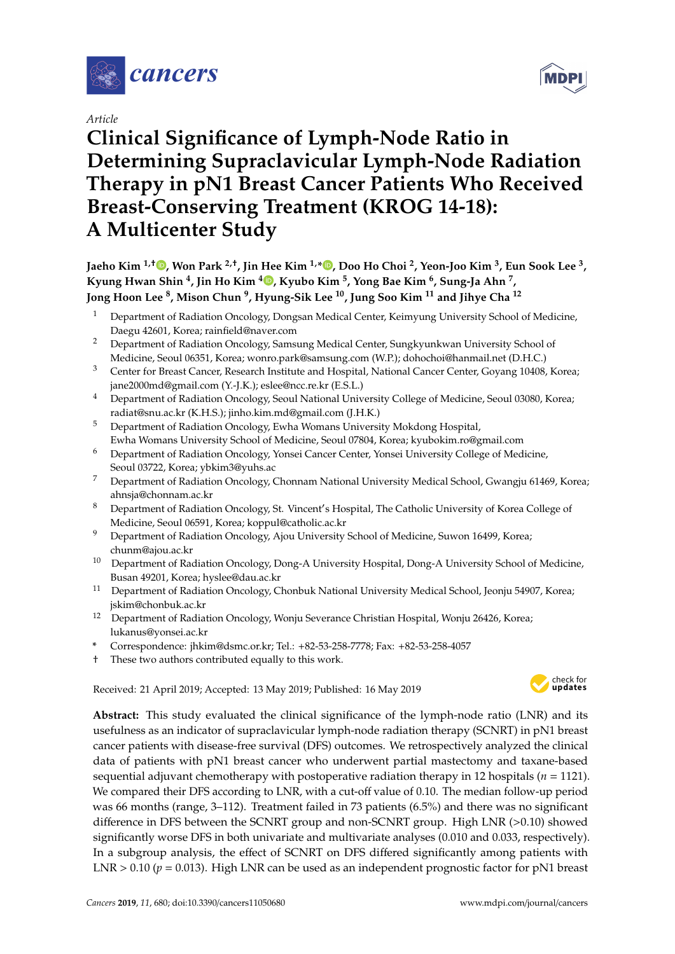

*Article*

# **Clinical Significance of Lymph-Node Ratio in Determining Supraclavicular Lymph-Node Radiation Therapy in pN1 Breast Cancer Patients Who Received Breast-Conserving Treatment (KROG 14-18): A Multicenter Study**

**Jaeho Kim 1,**† **[,](https://orcid.org/0000-0002-7773-1747) Won Park 2,**† **, Jin Hee Kim 1,\* [,](https://orcid.org/0000-0001-8608-9250) Doo Ho Choi <sup>2</sup> , Yeon-Joo Kim <sup>3</sup> , Eun Sook Lee <sup>3</sup> , Kyung Hwan Shin <sup>4</sup> , Jin Ho Kim [4](https://orcid.org/0000-0002-7918-1072) , Kyubo Kim <sup>5</sup> , Yong Bae Kim <sup>6</sup> , Sung-Ja Ahn <sup>7</sup> , Jong Hoon Lee <sup>8</sup> , Mison Chun <sup>9</sup> , Hyung-Sik Lee <sup>10</sup>, Jung Soo Kim <sup>11</sup> and Jihye Cha <sup>12</sup>**

- <sup>1</sup> Department of Radiation Oncology, Dongsan Medical Center, Keimyung University School of Medicine, Daegu 42601, Korea; rainfield@naver.com
- <sup>2</sup> Department of Radiation Oncology, Samsung Medical Center, Sungkyunkwan University School of Medicine, Seoul 06351, Korea; wonro.park@samsung.com (W.P.); dohochoi@hanmail.net (D.H.C.)
- <sup>3</sup> Center for Breast Cancer, Research Institute and Hospital, National Cancer Center, Goyang 10408, Korea; jane2000md@gmail.com (Y.-J.K.); eslee@ncc.re.kr (E.S.L.)
- <sup>4</sup> Department of Radiation Oncology, Seoul National University College of Medicine, Seoul 03080, Korea; radiat@snu.ac.kr (K.H.S.); jinho.kim.md@gmail.com (J.H.K.)
- <sup>5</sup> Department of Radiation Oncology, Ewha Womans University Mokdong Hospital, Ewha Womans University School of Medicine, Seoul 07804, Korea; kyubokim.ro@gmail.com
- <sup>6</sup> Department of Radiation Oncology, Yonsei Cancer Center, Yonsei University College of Medicine, Seoul 03722, Korea; ybkim3@yuhs.ac
- <sup>7</sup> Department of Radiation Oncology, Chonnam National University Medical School, Gwangju 61469, Korea; ahnsja@chonnam.ac.kr
- <sup>8</sup> Department of Radiation Oncology, St. Vincent's Hospital, The Catholic University of Korea College of Medicine, Seoul 06591, Korea; koppul@catholic.ac.kr
- <sup>9</sup> Department of Radiation Oncology, Ajou University School of Medicine, Suwon 16499, Korea; chunm@ajou.ac.kr
- <sup>10</sup> Department of Radiation Oncology, Dong-A University Hospital, Dong-A University School of Medicine, Busan 49201, Korea; hyslee@dau.ac.kr
- <sup>11</sup> Department of Radiation Oncology, Chonbuk National University Medical School, Jeonju 54907, Korea; jskim@chonbuk.ac.kr
- <sup>12</sup> Department of Radiation Oncology, Wonju Severance Christian Hospital, Wonju 26426, Korea; lukanus@yonsei.ac.kr
- **\*** Correspondence: jhkim@dsmc.or.kr; Tel.: +82-53-258-7778; Fax: +82-53-258-4057
- † These two authors contributed equally to this work.

Received: 21 April 2019; Accepted: 13 May 2019; Published: 16 May 2019 -



**Abstract:** This study evaluated the clinical significance of the lymph-node ratio (LNR) and its usefulness as an indicator of supraclavicular lymph-node radiation therapy (SCNRT) in pN1 breast cancer patients with disease-free survival (DFS) outcomes. We retrospectively analyzed the clinical data of patients with pN1 breast cancer who underwent partial mastectomy and taxane-based sequential adjuvant chemotherapy with postoperative radiation therapy in 12 hospitals (*n* = 1121). We compared their DFS according to LNR, with a cut-off value of 0.10. The median follow-up period was 66 months (range, 3–112). Treatment failed in 73 patients (6.5%) and there was no significant difference in DFS between the SCNRT group and non-SCNRT group. High LNR (>0.10) showed significantly worse DFS in both univariate and multivariate analyses (0.010 and 0.033, respectively). In a subgroup analysis, the effect of SCNRT on DFS differed significantly among patients with LNR > 0.10 ( $p = 0.013$ ). High LNR can be used as an independent prognostic factor for pN1 breast

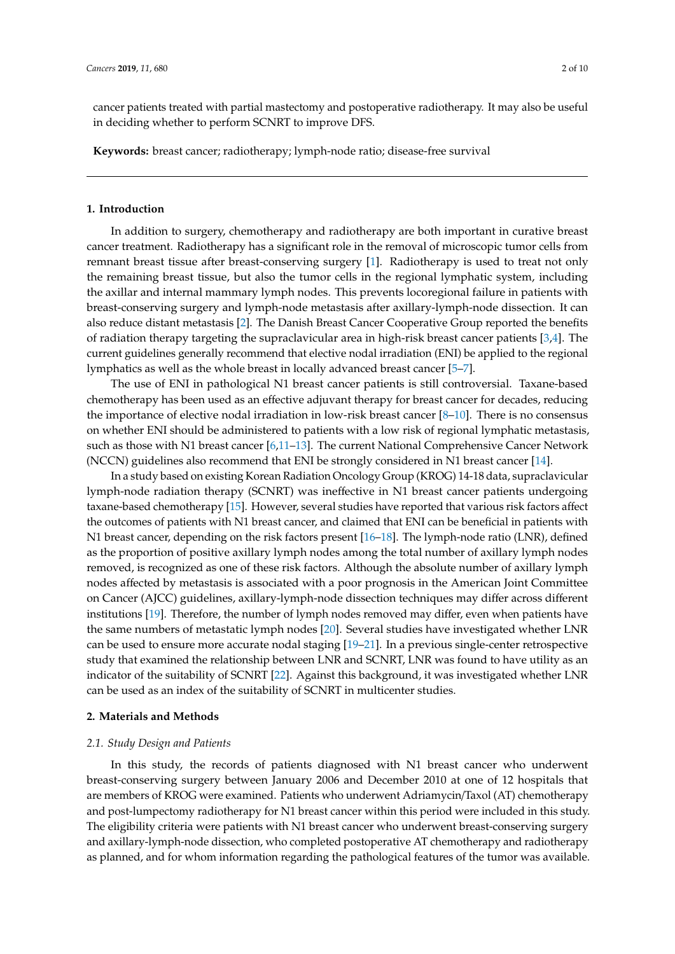cancer patients treated with partial mastectomy and postoperative radiotherapy. It may also be useful in deciding whether to perform SCNRT to improve DFS.

**Keywords:** breast cancer; radiotherapy; lymph-node ratio; disease-free survival

# **1. Introduction**

In addition to surgery, chemotherapy and radiotherapy are both important in curative breast cancer treatment. Radiotherapy has a significant role in the removal of microscopic tumor cells from remnant breast tissue after breast-conserving surgery [\[1\]](#page-7-0). Radiotherapy is used to treat not only the remaining breast tissue, but also the tumor cells in the regional lymphatic system, including the axillar and internal mammary lymph nodes. This prevents locoregional failure in patients with breast-conserving surgery and lymph-node metastasis after axillary-lymph-node dissection. It can also reduce distant metastasis [\[2\]](#page-7-1). The Danish Breast Cancer Cooperative Group reported the benefits of radiation therapy targeting the supraclavicular area in high-risk breast cancer patients [\[3,](#page-7-2)[4\]](#page-7-3). The current guidelines generally recommend that elective nodal irradiation (ENI) be applied to the regional lymphatics as well as the whole breast in locally advanced breast cancer [\[5–](#page-7-4)[7\]](#page-7-5).

The use of ENI in pathological N1 breast cancer patients is still controversial. Taxane-based chemotherapy has been used as an effective adjuvant therapy for breast cancer for decades, reducing the importance of elective nodal irradiation in low-risk breast cancer [\[8–](#page-7-6)[10\]](#page-7-7). There is no consensus on whether ENI should be administered to patients with a low risk of regional lymphatic metastasis, such as those with N1 breast cancer [\[6](#page-7-8)[,11–](#page-7-9)[13\]](#page-8-0). The current National Comprehensive Cancer Network (NCCN) guidelines also recommend that ENI be strongly considered in N1 breast cancer [\[14\]](#page-8-1).

In a study based on existing Korean Radiation Oncology Group (KROG) 14-18 data, supraclavicular lymph-node radiation therapy (SCNRT) was ineffective in N1 breast cancer patients undergoing taxane-based chemotherapy [\[15\]](#page-8-2). However, several studies have reported that various risk factors affect the outcomes of patients with N1 breast cancer, and claimed that ENI can be beneficial in patients with N1 breast cancer, depending on the risk factors present [\[16](#page-8-3)[–18\]](#page-8-4). The lymph-node ratio (LNR), defined as the proportion of positive axillary lymph nodes among the total number of axillary lymph nodes removed, is recognized as one of these risk factors. Although the absolute number of axillary lymph nodes affected by metastasis is associated with a poor prognosis in the American Joint Committee on Cancer (AJCC) guidelines, axillary-lymph-node dissection techniques may differ across different institutions [\[19\]](#page-8-5). Therefore, the number of lymph nodes removed may differ, even when patients have the same numbers of metastatic lymph nodes [\[20\]](#page-8-6). Several studies have investigated whether LNR can be used to ensure more accurate nodal staging [\[19](#page-8-5)[–21\]](#page-8-7). In a previous single-center retrospective study that examined the relationship between LNR and SCNRT, LNR was found to have utility as an indicator of the suitability of SCNRT [\[22\]](#page-8-8). Against this background, it was investigated whether LNR can be used as an index of the suitability of SCNRT in multicenter studies.

# **2. Materials and Methods**

# *2.1. Study Design and Patients*

In this study, the records of patients diagnosed with N1 breast cancer who underwent breast-conserving surgery between January 2006 and December 2010 at one of 12 hospitals that are members of KROG were examined. Patients who underwent Adriamycin/Taxol (AT) chemotherapy and post-lumpectomy radiotherapy for N1 breast cancer within this period were included in this study. The eligibility criteria were patients with N1 breast cancer who underwent breast-conserving surgery and axillary-lymph-node dissection, who completed postoperative AT chemotherapy and radiotherapy as planned, and for whom information regarding the pathological features of the tumor was available.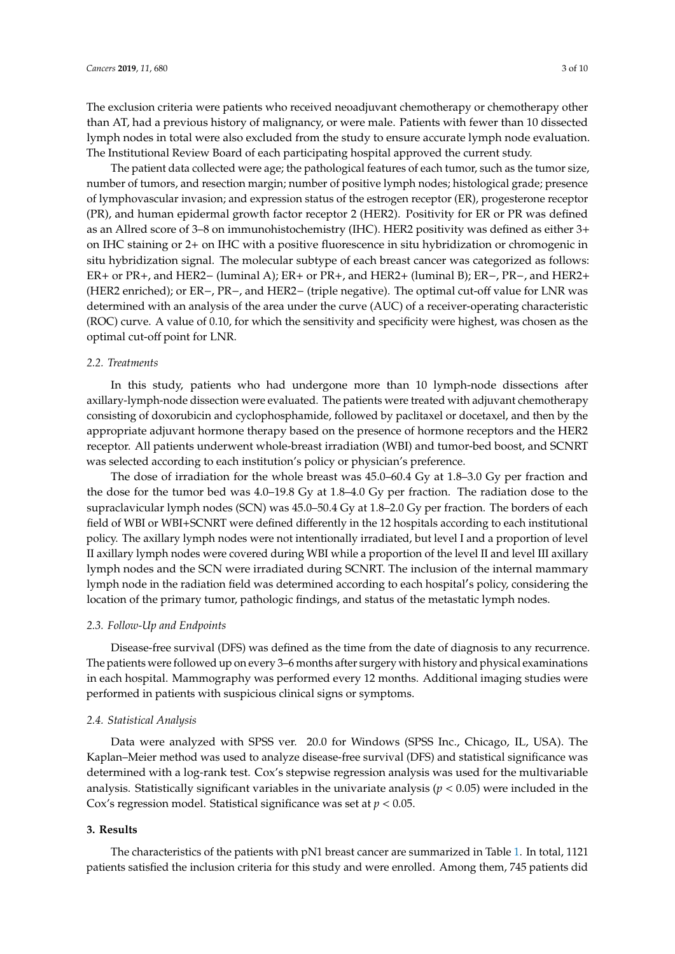The exclusion criteria were patients who received neoadjuvant chemotherapy or chemotherapy other than AT, had a previous history of malignancy, or were male. Patients with fewer than 10 dissected lymph nodes in total were also excluded from the study to ensure accurate lymph node evaluation. The Institutional Review Board of each participating hospital approved the current study.

The patient data collected were age; the pathological features of each tumor, such as the tumor size, number of tumors, and resection margin; number of positive lymph nodes; histological grade; presence of lymphovascular invasion; and expression status of the estrogen receptor (ER), progesterone receptor (PR), and human epidermal growth factor receptor 2 (HER2). Positivity for ER or PR was defined as an Allred score of 3–8 on immunohistochemistry (IHC). HER2 positivity was defined as either 3+ on IHC staining or 2+ on IHC with a positive fluorescence in situ hybridization or chromogenic in situ hybridization signal. The molecular subtype of each breast cancer was categorized as follows: ER+ or PR+, and HER2− (luminal A); ER+ or PR+, and HER2+ (luminal B); ER−, PR−, and HER2+ (HER2 enriched); or ER−, PR−, and HER2− (triple negative). The optimal cut-off value for LNR was determined with an analysis of the area under the curve (AUC) of a receiver-operating characteristic (ROC) curve. A value of 0.10, for which the sensitivity and specificity were highest, was chosen as the optimal cut-off point for LNR.

## *2.2. Treatments*

In this study, patients who had undergone more than 10 lymph-node dissections after axillary-lymph-node dissection were evaluated. The patients were treated with adjuvant chemotherapy consisting of doxorubicin and cyclophosphamide, followed by paclitaxel or docetaxel, and then by the appropriate adjuvant hormone therapy based on the presence of hormone receptors and the HER2 receptor. All patients underwent whole-breast irradiation (WBI) and tumor-bed boost, and SCNRT was selected according to each institution's policy or physician's preference.

The dose of irradiation for the whole breast was 45.0–60.4 Gy at 1.8–3.0 Gy per fraction and the dose for the tumor bed was 4.0–19.8 Gy at 1.8–4.0 Gy per fraction. The radiation dose to the supraclavicular lymph nodes (SCN) was 45.0–50.4 Gy at 1.8–2.0 Gy per fraction. The borders of each field of WBI or WBI+SCNRT were defined differently in the 12 hospitals according to each institutional policy. The axillary lymph nodes were not intentionally irradiated, but level I and a proportion of level II axillary lymph nodes were covered during WBI while a proportion of the level II and level III axillary lymph nodes and the SCN were irradiated during SCNRT. The inclusion of the internal mammary lymph node in the radiation field was determined according to each hospital's policy, considering the location of the primary tumor, pathologic findings, and status of the metastatic lymph nodes.

### *2.3. Follow-Up and Endpoints*

Disease-free survival (DFS) was defined as the time from the date of diagnosis to any recurrence. The patients were followed up on every 3–6 months after surgery with history and physical examinations in each hospital. Mammography was performed every 12 months. Additional imaging studies were performed in patients with suspicious clinical signs or symptoms.

#### *2.4. Statistical Analysis*

Data were analyzed with SPSS ver. 20.0 for Windows (SPSS Inc., Chicago, IL, USA). The Kaplan–Meier method was used to analyze disease-free survival (DFS) and statistical significance was determined with a log-rank test. Cox's stepwise regression analysis was used for the multivariable analysis. Statistically significant variables in the univariate analysis  $(p < 0.05)$  were included in the Cox's regression model. Statistical significance was set at *p* < 0.05.

# **3. Results**

The characteristics of the patients with pN1 breast cancer are summarized in Table [1.](#page-3-0) In total, 1121 patients satisfied the inclusion criteria for this study and were enrolled. Among them, 745 patients did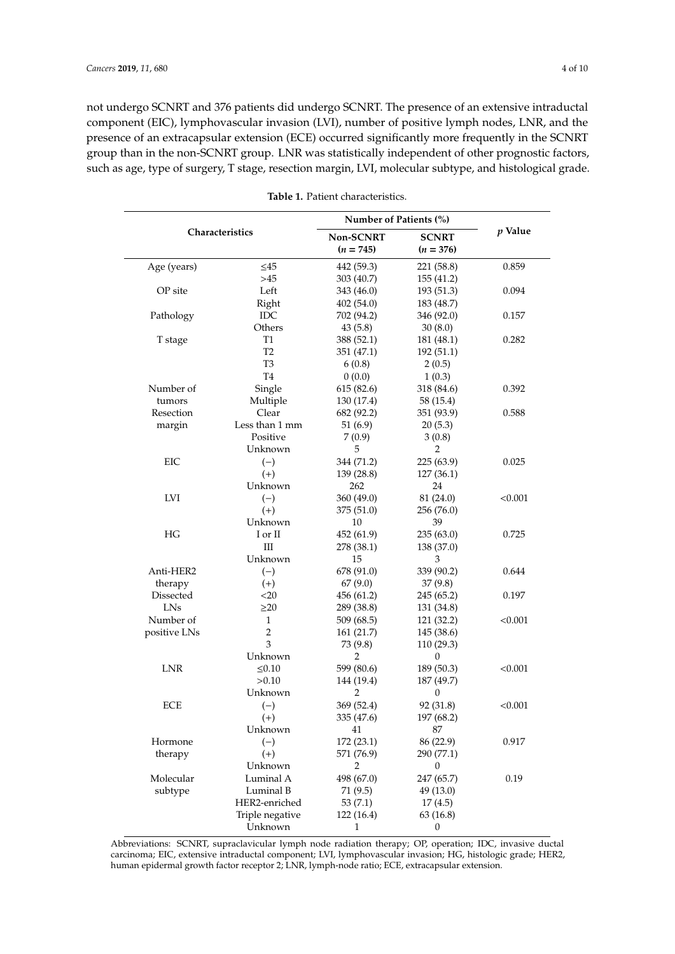not undergo SCNRT and 376 patients did undergo SCNRT. The presence of an extensive intraductal component (EIC), lymphovascular invasion (LVI), number of positive lymph nodes, LNR, and the presence of an extracapsular extension (ECE) occurred significantly more frequently in the SCNRT group than in the non-SCNRT group. LNR was statistically independent of other prognostic factors, such as age, type of surgery, T stage, resection margin, LVI, molecular subtype, and histological grade.

<span id="page-3-0"></span>

|              |                 | Number of Patients (%) |              |           |  |
|--------------|-----------------|------------------------|--------------|-----------|--|
|              | Characteristics | Non-SCNRT              | <b>SCNRT</b> | $p$ Value |  |
|              |                 | $(n = 745)$            | $(n = 376)$  |           |  |
| Age (years)  | $\leq45$        | 442 (59.3)             | 221 (58.8)   | 0.859     |  |
|              | >45             | 303 (40.7)             | 155 (41.2)   |           |  |
| OP site      | Left            | 343 (46.0)             | 193 (51.3)   | 0.094     |  |
|              | Right           | 402(54.0)              | 183 (48.7)   |           |  |
| Pathology    | <b>IDC</b>      | 702 (94.2)             | 346 (92.0)   | 0.157     |  |
|              | Others          | 43(5.8)                | 30(8.0)      |           |  |
| T stage      | T <sub>1</sub>  | 388 (52.1)             | 181 (48.1)   | 0.282     |  |
|              | T <sub>2</sub>  | 351 (47.1)             | 192 (51.1)   |           |  |
|              | T <sub>3</sub>  | 6(0.8)                 | 2(0.5)       |           |  |
|              | T <sub>4</sub>  | 0(0.0)                 | 1(0.3)       |           |  |
| Number of    | Single          | 615 (82.6)             | 318 (84.6)   | 0.392     |  |
| tumors       | Multiple        | 130 (17.4)             | 58 (15.4)    |           |  |
| Resection    | Clear           | 682 (92.2)             | 351 (93.9)   | 0.588     |  |
| margin       | Less than 1 mm  | 51(6.9)                | 20(5.3)      |           |  |
|              | Positive        | 7(0.9)                 | 3(0.8)       |           |  |
|              | Unknown         | 5                      | 2            |           |  |
| EIC          | $(-)$           | 344 (71.2)             | 225 (63.9)   | 0.025     |  |
|              | $(+)$           | 139 (28.8)             | 127 (36.1)   |           |  |
|              | Unknown         | 262                    | 24           |           |  |
| LVI          | $(-)$           | 360 (49.0)             | 81 (24.0)    | < 0.001   |  |
|              | $(+)$           | 375 (51.0)             | 256 (76.0)   |           |  |
|              | Unknown         | 10                     | 39           |           |  |
| HG           | I or II         | 452 (61.9)             | 235(63.0)    | 0.725     |  |
|              | Ш               | 278 (38.1)             | 138 (37.0)   |           |  |
|              | Unknown         | 15                     | 3            |           |  |
| Anti-HER2    | $(-)$           | 678 (91.0)             | 339 (90.2)   | 0.644     |  |
| therapy      | $(+)$           | 67(9.0)                | 37(9.8)      |           |  |
| Dissected    | $<$ 20          | 456 (61.2)             | 245 (65.2)   | 0.197     |  |
| LNs          | $\geq$ 20       | 289 (38.8)             | 131 (34.8)   |           |  |
| Number of    | 1               | 509 (68.5)             | 121 (32.2)   | < 0.001   |  |
| positive LNs | $\overline{c}$  | 161 (21.7)             | 145 (38.6)   |           |  |
|              | 3               | 73 (9.8)               | 110 (29.3)   |           |  |
|              | Unknown         | 2                      | 0            |           |  |
| LNR          | $\leq 0.10$     | 599 (80.6)             | 189 (50.3)   | < 0.001   |  |
|              | >0.10           | 144 (19.4)             | 187 (49.7)   |           |  |
|              | Unknown         | $\overline{2}$         | 0            |           |  |
| <b>ECE</b>   | $(-)$           | 369 (52.4)             | 92 (31.8)    | < 0.001   |  |
|              | $^{(+)}$        | 335 (47.6)             | 197 (68.2)   |           |  |
|              | Unknown         | 41                     | 87           |           |  |
| Hormone      | $(-)$           | 172 (23.1)             | 86 (22.9)    | 0.917     |  |
| therapy      | $(+)$           | 571 (76.9)             | 290 (77.1)   |           |  |
|              | Unknown         | 2                      | 0            |           |  |
| Molecular    | Luminal A       | 498 (67.0)             | 247 (65.7)   | 0.19      |  |
| subtype      | Luminal B       | 71 (9.5)               | 49 (13.0)    |           |  |
|              | HER2-enriched   | 53 (7.1)               | 17(4.5)      |           |  |
|              | Triple negative | 122 (16.4)             | 63 (16.8)    |           |  |
|              | Unknown         | 1                      | 0            |           |  |
|              |                 |                        |              |           |  |

**Table 1.** Patient characteristics.

Abbreviations: SCNRT, supraclavicular lymph node radiation therapy; OP, operation; IDC, invasive ductal carcinoma; EIC, extensive intraductal component; LVI, lymphovascular invasion; HG, histologic grade; HER2, human epidermal growth factor receptor 2; LNR, lymph-node ratio; ECE, extracapsular extension.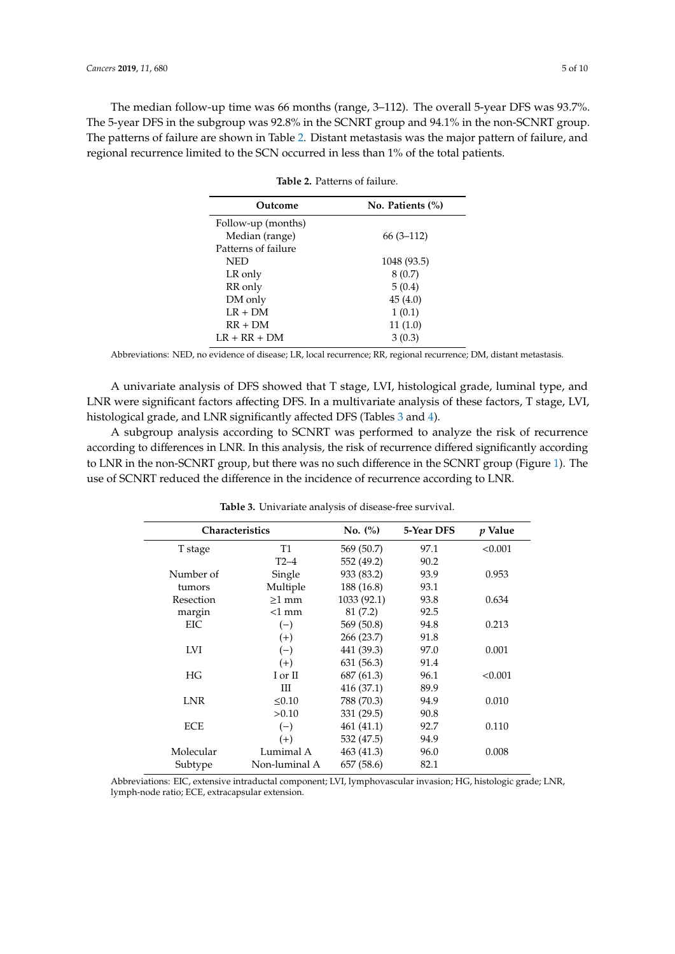<span id="page-4-0"></span>The median follow-up time was 66 months (range, 3–112). The overall 5-year DFS was 93.7%. The 5-year DFS in the subgroup was 92.8% in the SCNRT group and 94.1% in the non-SCNRT group. The patterns of failure are shown in Table [2.](#page-4-0) Distant metastasis was the major pattern of failure, and regional recurrence limited to the SCN occurred in less than 1% of the total patients.

| No. Patients (%) |  |  |
|------------------|--|--|
|                  |  |  |
| $66(3-112)$      |  |  |
|                  |  |  |
| 1048 (93.5)      |  |  |
| 8 (0.7)          |  |  |
| 5(0.4)           |  |  |
| 45(4.0)          |  |  |
| 1(0.1)           |  |  |
| 11(1.0)          |  |  |
| 3(0.3)           |  |  |
|                  |  |  |

**Table 2.** Patterns of failure.

Abbreviations: NED, no evidence of disease; LR, local recurrence; RR, regional recurrence; DM, distant metastasis.

A univariate analysis of DFS showed that T stage, LVI, histological grade, luminal type, and LNR were significant factors affecting DFS. In a multivariate analysis of these factors, T stage, LVI, histological grade, and LNR significantly affected DFS (Tables [3](#page-4-1) and [4\)](#page-5-0).

A subgroup analysis according to SCNRT was performed to analyze the risk of recurrence according to differences in LNR. In this analysis, the risk of recurrence differed significantly according to LNR in the non-SCNRT group, but there was no such difference in the SCNRT group (Figure [1\)](#page-5-1). The use of SCNRT reduced the difference in the incidence of recurrence according to LNR.

<span id="page-4-1"></span>

| <b>Characteristics</b> |               | No. (%)     | 5-Year DFS | $p$ Value |
|------------------------|---------------|-------------|------------|-----------|
| T stage                | T1            | 569 (50.7)  | 97.1       | < 0.001   |
|                        | $T2-4$        | 552 (49.2)  | 90.2       |           |
| Number of              | Single        | 933 (83.2)  | 93.9       | 0.953     |
| tumors                 | Multiple      | 188 (16.8)  | 93.1       |           |
| Resection              | $>1$ mm       | 1033 (92.1) | 93.8       | 0.634     |
| margin                 | $<1$ mm       | 81 (7.2)    | 92.5       |           |
| EIC                    | $(-)$         | 569 (50.8)  | 94.8       | 0.213     |
|                        | $(+)$         | 266 (23.7)  | 91.8       |           |
| <b>LVI</b>             | $(-)$         | 441 (39.3)  | 97.0       | 0.001     |
|                        | $(+)$         | 631 (56.3)  | 91.4       |           |
| HG                     | I or II       | 687 (61.3)  | 96.1       | < 0.001   |
|                        | Ш             | 416(37.1)   | 89.9       |           |
| <b>LNR</b>             | < 0.10        | 788 (70.3)  | 94.9       | 0.010     |
|                        | >0.10         | 331 (29.5)  | 90.8       |           |
| <b>ECE</b>             | $(-)$         | 461 (41.1)  | 92.7       | 0.110     |
|                        | $(+)$         | 532 (47.5)  | 94.9       |           |
| Molecular              | Lumimal A     | 463 (41.3)  | 96.0       | 0.008     |
| Subtype                | Non-luminal A | 657 (58.6)  | 82.1       |           |

**Table 3.** Univariate analysis of disease-free survival.

Abbreviations: EIC, extensive intraductal component; LVI, lymphovascular invasion; HG, histologic grade; LNR, lymph-node ratio; ECE, extracapsular extension.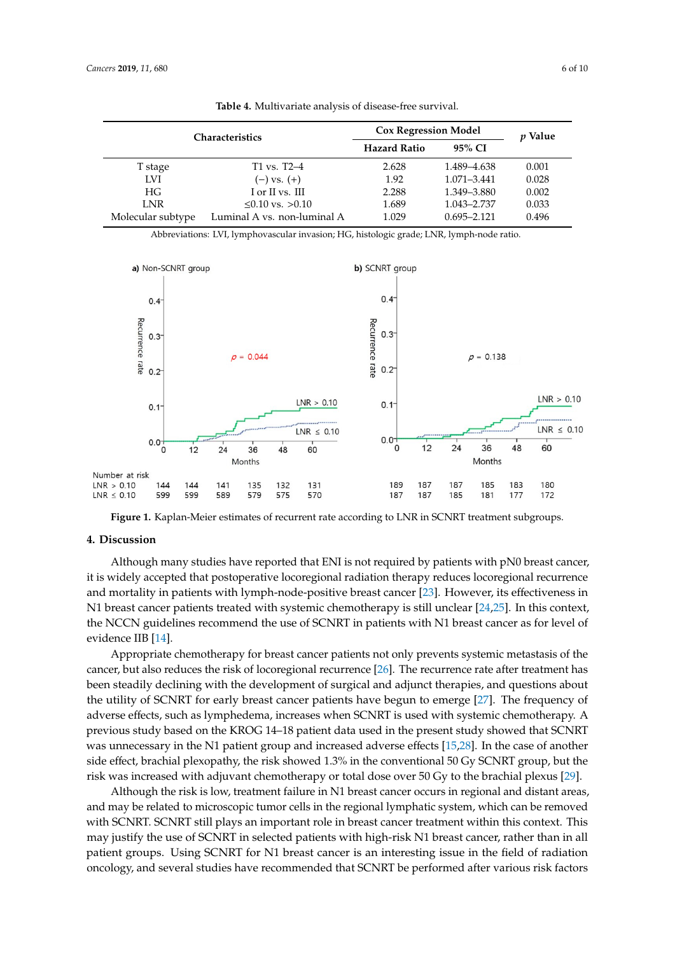<span id="page-5-0"></span>

| <b>Characteristics</b> |                             | <b>Cox Regression Model</b> |                 | <i>v</i> Value |
|------------------------|-----------------------------|-----------------------------|-----------------|----------------|
|                        |                             | <b>Hazard Ratio</b>         | 95% CI          |                |
| T stage                | $T1$ vs. $T2-4$             | 2.628                       | 1.489-4.638     | 0.001          |
| <b>LVI</b>             | $(-)$ vs. $(+)$             | 1.92                        | 1.071-3.441     | 0.028          |
| HG                     | I or II vs. III             | 2.288                       | 1.349–3.880     | 0.002          |
| LNR                    | $\leq 0.10$ vs. $> 0.10$    | 1.689                       | 1.043-2.737     | 0.033          |
| Molecular subtype      | Luminal A vs. non-luminal A | 1.029                       | $0.695 - 2.121$ | 0.496          |

Table 4. Multivariate analysis of disease-free survival.

Abbreviations: LVI, lymphovascular invasion; HG, histologic grade; LNR, lymph-node ratio.

<span id="page-5-1"></span>

**Figure 1.** Kaplan-Meier estimates of recurrent rate according to LNR in SCNRT treatment subgroups.

**Figure 1.** Kaplan‐Meier estimates of recurrent rate according to LNR in SCNRT treatment subgroups.

# **4. Discussion**

 it is widely accepted that postoperative locoregional radiation therapy reduces locoregional recurrence Although many studies have reported that ENI is not required by patients with pN0 breast cancer, and mortality in patients with lymph-node-positive breast cancer [\[23\]](#page-8-9). However, its effectiveness in N1 breast cancer patients treated with systemic chemotherapy is still unclear [\[24,](#page-8-10)[25\]](#page-8-11). In this context, the NCCN guidelines recommend the use of SCNRT in patients with N1 breast cancer as for level of evidence IIB [\[14\]](#page-8-1).

Appropriate chemotherapy for breast cancer patients not only prevents systemic metastasis of the cancer, but also reduces the risk of locoregional recurrence [\[26\]](#page-8-12). The recurrence rate after treatment has been steadily declining with the development of surgical and adjunct therapies, and questions about the utility of SCNRT for early breast cancer patients have begun to emerge [\[27\]](#page-8-13). The frequency of adverse effects, such as lymphedema, increases when SCNRT is used with systemic chemotherapy. A previous study based on the KROG 14–18 patient data used in the present study showed that SCNRT was unnecessary in the N1 patient group and increased adverse effects [\[15,](#page-8-2)[28\]](#page-8-14). In the case of another side effect, brachial plexopathy, the risk showed 1.3% in the conventional 50 Gy SCNRT group, but the risk was increased with adjuvant chemotherapy or total dose over 50 Gy to the brachial plexus [\[29\]](#page-9-0).

Although the risk is low, treatment failure in N1 breast cancer occurs in regional and distant areas, and may be related to microscopic tumor cells in the regional lymphatic system, which can be removed with SCNRT. SCNRT still plays an important role in breast cancer treatment within this context. This may justify the use of SCNRT in selected patients with high-risk N1 breast cancer, rather than in all patient groups. Using SCNRT for N1 breast cancer is an interesting issue in the field of radiation oncology, and several studies have recommended that SCNRT be performed after various risk factors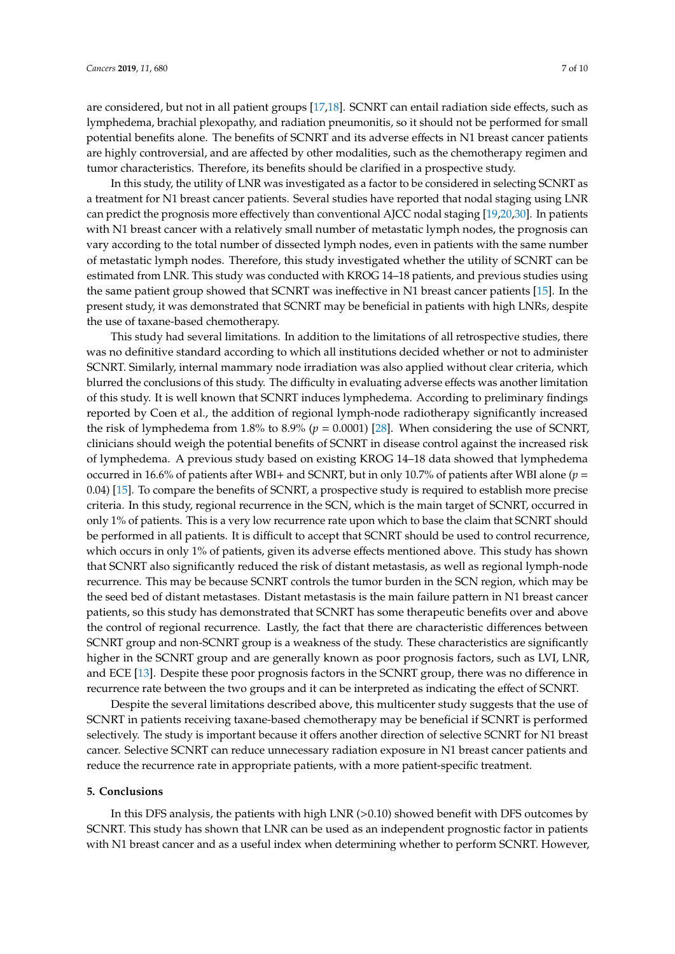are considered, but not in all patient groups [\[17,](#page-8-15)[18\]](#page-8-4). SCNRT can entail radiation side effects, such as lymphedema, brachial plexopathy, and radiation pneumonitis, so it should not be performed for small potential benefits alone. The benefits of SCNRT and its adverse effects in N1 breast cancer patients are highly controversial, and are affected by other modalities, such as the chemotherapy regimen and tumor characteristics. Therefore, its benefits should be clarified in a prospective study.

In this study, the utility of LNR was investigated as a factor to be considered in selecting SCNRT as a treatment for N1 breast cancer patients. Several studies have reported that nodal staging using LNR can predict the prognosis more effectively than conventional AJCC nodal staging [\[19,](#page-8-5)[20,](#page-8-6)[30\]](#page-9-1). In patients with N1 breast cancer with a relatively small number of metastatic lymph nodes, the prognosis can vary according to the total number of dissected lymph nodes, even in patients with the same number of metastatic lymph nodes. Therefore, this study investigated whether the utility of SCNRT can be estimated from LNR. This study was conducted with KROG 14–18 patients, and previous studies using the same patient group showed that SCNRT was ineffective in N1 breast cancer patients [\[15\]](#page-8-2). In the present study, it was demonstrated that SCNRT may be beneficial in patients with high LNRs, despite the use of taxane-based chemotherapy.

This study had several limitations. In addition to the limitations of all retrospective studies, there was no definitive standard according to which all institutions decided whether or not to administer SCNRT. Similarly, internal mammary node irradiation was also applied without clear criteria, which blurred the conclusions of this study. The difficulty in evaluating adverse effects was another limitation of this study. It is well known that SCNRT induces lymphedema. According to preliminary findings reported by Coen et al., the addition of regional lymph-node radiotherapy significantly increased the risk of lymphedema from 1.8% to 8.9% (*p* = 0.0001) [\[28\]](#page-8-14). When considering the use of SCNRT, clinicians should weigh the potential benefits of SCNRT in disease control against the increased risk of lymphedema. A previous study based on existing KROG 14–18 data showed that lymphedema occurred in 16.6% of patients after WBI+ and SCNRT, but in only 10.7% of patients after WBI alone (*p* = 0.04) [\[15\]](#page-8-2). To compare the benefits of SCNRT, a prospective study is required to establish more precise criteria. In this study, regional recurrence in the SCN, which is the main target of SCNRT, occurred in only 1% of patients. This is a very low recurrence rate upon which to base the claim that SCNRT should be performed in all patients. It is difficult to accept that SCNRT should be used to control recurrence, which occurs in only 1% of patients, given its adverse effects mentioned above. This study has shown that SCNRT also significantly reduced the risk of distant metastasis, as well as regional lymph-node recurrence. This may be because SCNRT controls the tumor burden in the SCN region, which may be the seed bed of distant metastases. Distant metastasis is the main failure pattern in N1 breast cancer patients, so this study has demonstrated that SCNRT has some therapeutic benefits over and above the control of regional recurrence. Lastly, the fact that there are characteristic differences between SCNRT group and non-SCNRT group is a weakness of the study. These characteristics are significantly higher in the SCNRT group and are generally known as poor prognosis factors, such as LVI, LNR, and ECE [\[13\]](#page-8-0). Despite these poor prognosis factors in the SCNRT group, there was no difference in recurrence rate between the two groups and it can be interpreted as indicating the effect of SCNRT.

Despite the several limitations described above, this multicenter study suggests that the use of SCNRT in patients receiving taxane-based chemotherapy may be beneficial if SCNRT is performed selectively. The study is important because it offers another direction of selective SCNRT for N1 breast cancer. Selective SCNRT can reduce unnecessary radiation exposure in N1 breast cancer patients and reduce the recurrence rate in appropriate patients, with a more patient-specific treatment.

## **5. Conclusions**

In this DFS analysis, the patients with high LNR  $(>0.10)$  showed benefit with DFS outcomes by SCNRT. This study has shown that LNR can be used as an independent prognostic factor in patients with N1 breast cancer and as a useful index when determining whether to perform SCNRT. However,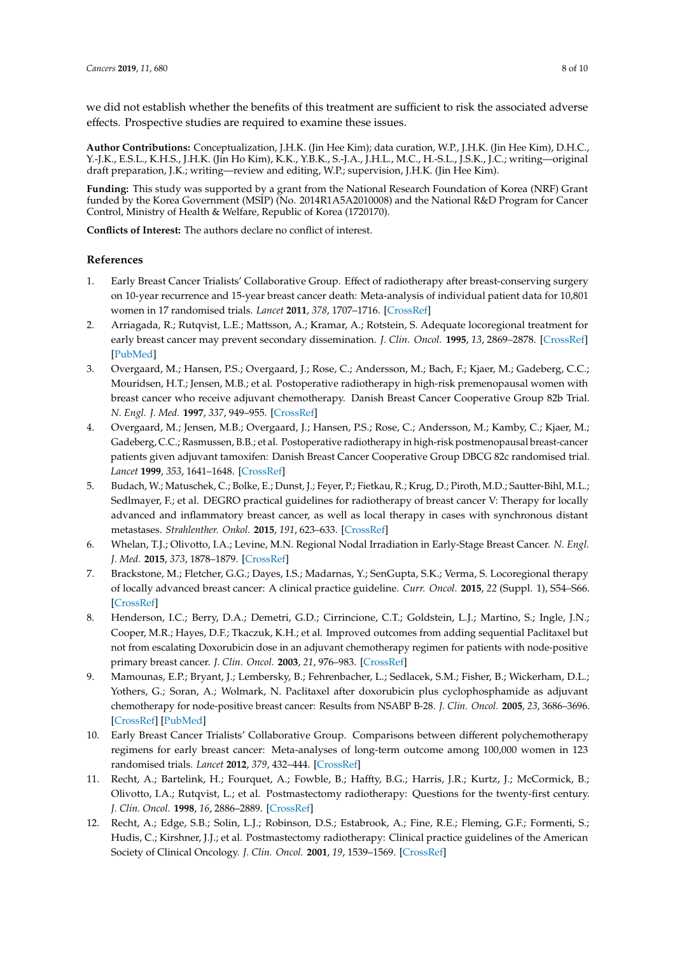we did not establish whether the benefits of this treatment are sufficient to risk the associated adverse effects. Prospective studies are required to examine these issues.

**Author Contributions:** Conceptualization, J.H.K. (Jin Hee Kim); data curation, W.P., J.H.K. (Jin Hee Kim), D.H.C., Y.-J.K., E.S.L., K.H.S., J.H.K. (Jin Ho Kim), K.K., Y.B.K., S.-J.A., J.H.L., M.C., H.-S.L., J.S.K., J.C.; writing—original draft preparation, J.K.; writing—review and editing, W.P.; supervision, J.H.K. (Jin Hee Kim).

**Funding:** This study was supported by a grant from the National Research Foundation of Korea (NRF) Grant funded by the Korea Government (MSIP) (No. 2014R1A5A2010008) and the National R&D Program for Cancer Control, Ministry of Health & Welfare, Republic of Korea (1720170).

**Conflicts of Interest:** The authors declare no conflict of interest.

# **References**

- <span id="page-7-0"></span>1. Early Breast Cancer Trialists' Collaborative Group. Effect of radiotherapy after breast-conserving surgery on 10-year recurrence and 15-year breast cancer death: Meta-analysis of individual patient data for 10,801 women in 17 randomised trials. *Lancet* **2011**, *378*, 1707–1716. [\[CrossRef\]](http://dx.doi.org/10.1016/S0140-6736(11)61629-2)
- <span id="page-7-1"></span>2. Arriagada, R.; Rutqvist, L.E.; Mattsson, A.; Kramar, A.; Rotstein, S. Adequate locoregional treatment for early breast cancer may prevent secondary dissemination. *J. Clin. Oncol.* **1995**, *13*, 2869–2878. [\[CrossRef\]](http://dx.doi.org/10.1200/JCO.1995.13.12.2869) [\[PubMed\]](http://www.ncbi.nlm.nih.gov/pubmed/8523049)
- <span id="page-7-2"></span>3. Overgaard, M.; Hansen, P.S.; Overgaard, J.; Rose, C.; Andersson, M.; Bach, F.; Kjaer, M.; Gadeberg, C.C.; Mouridsen, H.T.; Jensen, M.B.; et al. Postoperative radiotherapy in high-risk premenopausal women with breast cancer who receive adjuvant chemotherapy. Danish Breast Cancer Cooperative Group 82b Trial. *N. Engl. J. Med.* **1997**, *337*, 949–955. [\[CrossRef\]](http://dx.doi.org/10.1056/NEJM199710023371401)
- <span id="page-7-3"></span>4. Overgaard, M.; Jensen, M.B.; Overgaard, J.; Hansen, P.S.; Rose, C.; Andersson, M.; Kamby, C.; Kjaer, M.; Gadeberg, C.C.; Rasmussen, B.B.; et al. Postoperative radiotherapy in high-risk postmenopausal breast-cancer patients given adjuvant tamoxifen: Danish Breast Cancer Cooperative Group DBCG 82c randomised trial. *Lancet* **1999**, *353*, 1641–1648. [\[CrossRef\]](http://dx.doi.org/10.1016/S0140-6736(98)09201-0)
- <span id="page-7-4"></span>5. Budach, W.; Matuschek, C.; Bolke, E.; Dunst, J.; Feyer, P.; Fietkau, R.; Krug, D.; Piroth, M.D.; Sautter-Bihl, M.L.; Sedlmayer, F.; et al. DEGRO practical guidelines for radiotherapy of breast cancer V: Therapy for locally advanced and inflammatory breast cancer, as well as local therapy in cases with synchronous distant metastases. *Strahlenther. Onkol.* **2015**, *191*, 623–633. [\[CrossRef\]](http://dx.doi.org/10.1007/s00066-015-0843-1)
- <span id="page-7-8"></span>6. Whelan, T.J.; Olivotto, I.A.; Levine, M.N. Regional Nodal Irradiation in Early-Stage Breast Cancer. *N. Engl. J. Med.* **2015**, *373*, 1878–1879. [\[CrossRef\]](http://dx.doi.org/10.1056/NEJMoa1415340)
- <span id="page-7-5"></span>7. Brackstone, M.; Fletcher, G.G.; Dayes, I.S.; Madarnas, Y.; SenGupta, S.K.; Verma, S. Locoregional therapy of locally advanced breast cancer: A clinical practice guideline. *Curr. Oncol.* **2015**, *22* (Suppl. 1), S54–S66. [\[CrossRef\]](http://dx.doi.org/10.3747/co.22.2316)
- <span id="page-7-6"></span>8. Henderson, I.C.; Berry, D.A.; Demetri, G.D.; Cirrincione, C.T.; Goldstein, L.J.; Martino, S.; Ingle, J.N.; Cooper, M.R.; Hayes, D.F.; Tkaczuk, K.H.; et al. Improved outcomes from adding sequential Paclitaxel but not from escalating Doxorubicin dose in an adjuvant chemotherapy regimen for patients with node-positive primary breast cancer. *J. Clin. Oncol.* **2003**, *21*, 976–983. [\[CrossRef\]](http://dx.doi.org/10.1200/JCO.2003.02.063)
- 9. Mamounas, E.P.; Bryant, J.; Lembersky, B.; Fehrenbacher, L.; Sedlacek, S.M.; Fisher, B.; Wickerham, D.L.; Yothers, G.; Soran, A.; Wolmark, N. Paclitaxel after doxorubicin plus cyclophosphamide as adjuvant chemotherapy for node-positive breast cancer: Results from NSABP B-28. *J. Clin. Oncol.* **2005**, *23*, 3686–3696. [\[CrossRef\]](http://dx.doi.org/10.1200/JCO.2005.10.517) [\[PubMed\]](http://www.ncbi.nlm.nih.gov/pubmed/15897552)
- <span id="page-7-7"></span>10. Early Breast Cancer Trialists' Collaborative Group. Comparisons between different polychemotherapy regimens for early breast cancer: Meta-analyses of long-term outcome among 100,000 women in 123 randomised trials. *Lancet* **2012**, *379*, 432–444. [\[CrossRef\]](http://dx.doi.org/10.1016/S0140-6736(11)61625-5)
- <span id="page-7-9"></span>11. Recht, A.; Bartelink, H.; Fourquet, A.; Fowble, B.; Haffty, B.G.; Harris, J.R.; Kurtz, J.; McCormick, B.; Olivotto, I.A.; Rutqvist, L.; et al. Postmastectomy radiotherapy: Questions for the twenty-first century. *J. Clin. Oncol.* **1998**, *16*, 2886–2889. [\[CrossRef\]](http://dx.doi.org/10.1200/JCO.1998.16.8.2886)
- 12. Recht, A.; Edge, S.B.; Solin, L.J.; Robinson, D.S.; Estabrook, A.; Fine, R.E.; Fleming, G.F.; Formenti, S.; Hudis, C.; Kirshner, J.J.; et al. Postmastectomy radiotherapy: Clinical practice guidelines of the American Society of Clinical Oncology. *J. Clin. Oncol.* **2001**, *19*, 1539–1569. [\[CrossRef\]](http://dx.doi.org/10.1200/JCO.2001.19.5.1539)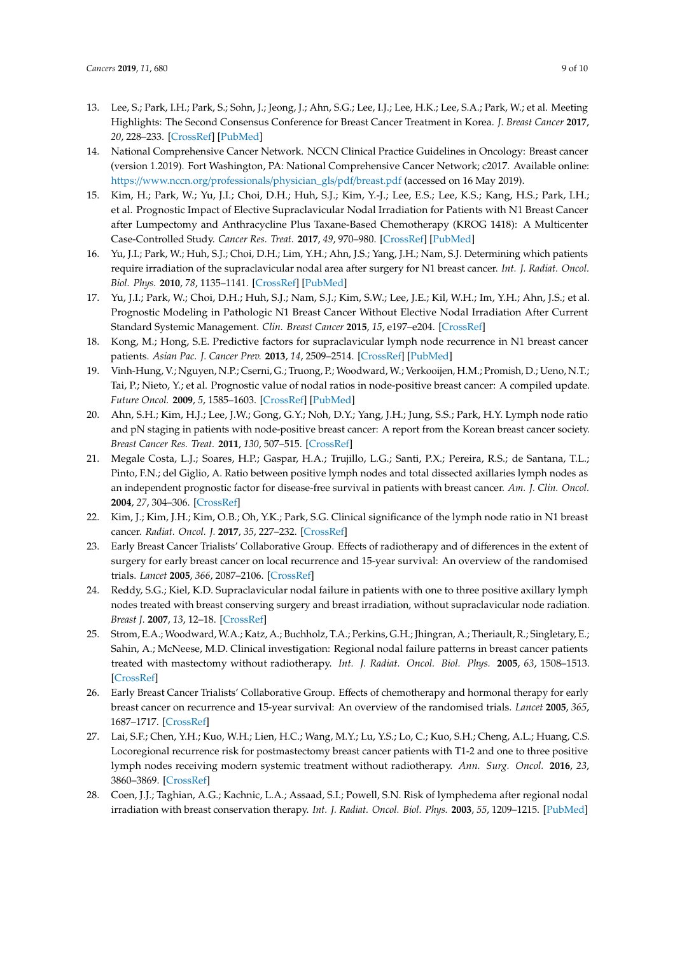- <span id="page-8-0"></span>13. Lee, S.; Park, I.H.; Park, S.; Sohn, J.; Jeong, J.; Ahn, S.G.; Lee, I.J.; Lee, H.K.; Lee, S.A.; Park, W.; et al. Meeting Highlights: The Second Consensus Conference for Breast Cancer Treatment in Korea. *J. Breast Cancer* **2017**, *20*, 228–233. [\[CrossRef\]](http://dx.doi.org/10.4048/jbc.2017.20.3.228) [\[PubMed\]](http://www.ncbi.nlm.nih.gov/pubmed/28970847)
- <span id="page-8-1"></span>14. National Comprehensive Cancer Network. NCCN Clinical Practice Guidelines in Oncology: Breast cancer (version 1.2019). Fort Washington, PA: National Comprehensive Cancer Network; c2017. Available online: https://[www.nccn.org](https://www.nccn.org/professionals/physician_gls/pdf/breast.pdf)/professionals/physician\_gls/pdf/breast.pdf (accessed on 16 May 2019).
- <span id="page-8-2"></span>15. Kim, H.; Park, W.; Yu, J.I.; Choi, D.H.; Huh, S.J.; Kim, Y.-J.; Lee, E.S.; Lee, K.S.; Kang, H.S.; Park, I.H.; et al. Prognostic Impact of Elective Supraclavicular Nodal Irradiation for Patients with N1 Breast Cancer after Lumpectomy and Anthracycline Plus Taxane-Based Chemotherapy (KROG 1418): A Multicenter Case-Controlled Study. *Cancer Res. Treat.* **2017**, *49*, 970–980. [\[CrossRef\]](http://dx.doi.org/10.4143/crt.2016.382) [\[PubMed\]](http://www.ncbi.nlm.nih.gov/pubmed/28052649)
- <span id="page-8-3"></span>16. Yu, J.I.; Park, W.; Huh, S.J.; Choi, D.H.; Lim, Y.H.; Ahn, J.S.; Yang, J.H.; Nam, S.J. Determining which patients require irradiation of the supraclavicular nodal area after surgery for N1 breast cancer. *Int. J. Radiat. Oncol. Biol. Phys.* **2010**, *78*, 1135–1141. [\[CrossRef\]](http://dx.doi.org/10.1016/j.ijrobp.2009.09.037) [\[PubMed\]](http://www.ncbi.nlm.nih.gov/pubmed/20231065)
- <span id="page-8-15"></span>17. Yu, J.I.; Park, W.; Choi, D.H.; Huh, S.J.; Nam, S.J.; Kim, S.W.; Lee, J.E.; Kil, W.H.; Im, Y.H.; Ahn, J.S.; et al. Prognostic Modeling in Pathologic N1 Breast Cancer Without Elective Nodal Irradiation After Current Standard Systemic Management. *Clin. Breast Cancer* **2015**, *15*, e197–e204. [\[CrossRef\]](http://dx.doi.org/10.1016/j.clbc.2015.03.006)
- <span id="page-8-4"></span>18. Kong, M.; Hong, S.E. Predictive factors for supraclavicular lymph node recurrence in N1 breast cancer patients. *Asian Pac. J. Cancer Prev.* **2013**, *14*, 2509–2514. [\[CrossRef\]](http://dx.doi.org/10.7314/APJCP.2013.14.4.2509) [\[PubMed\]](http://www.ncbi.nlm.nih.gov/pubmed/23725165)
- <span id="page-8-5"></span>19. Vinh-Hung, V.; Nguyen, N.P.; Cserni, G.; Truong, P.; Woodward, W.; Verkooijen, H.M.; Promish, D.; Ueno, N.T.; Tai, P.; Nieto, Y.; et al. Prognostic value of nodal ratios in node-positive breast cancer: A compiled update. *Future Oncol.* **2009**, *5*, 1585–1603. [\[CrossRef\]](http://dx.doi.org/10.2217/fon.09.129) [\[PubMed\]](http://www.ncbi.nlm.nih.gov/pubmed/20001797)
- <span id="page-8-6"></span>20. Ahn, S.H.; Kim, H.J.; Lee, J.W.; Gong, G.Y.; Noh, D.Y.; Yang, J.H.; Jung, S.S.; Park, H.Y. Lymph node ratio and pN staging in patients with node-positive breast cancer: A report from the Korean breast cancer society. *Breast Cancer Res. Treat.* **2011**, *130*, 507–515. [\[CrossRef\]](http://dx.doi.org/10.1007/s10549-011-1730-9)
- <span id="page-8-7"></span>21. Megale Costa, L.J.; Soares, H.P.; Gaspar, H.A.; Trujillo, L.G.; Santi, P.X.; Pereira, R.S.; de Santana, T.L.; Pinto, F.N.; del Giglio, A. Ratio between positive lymph nodes and total dissected axillaries lymph nodes as an independent prognostic factor for disease-free survival in patients with breast cancer. *Am. J. Clin. Oncol.* **2004**, *27*, 304–306. [\[CrossRef\]](http://dx.doi.org/10.1097/01.COC.0000071941.70772.DC)
- <span id="page-8-8"></span>22. Kim, J.; Kim, J.H.; Kim, O.B.; Oh, Y.K.; Park, S.G. Clinical significance of the lymph node ratio in N1 breast cancer. *Radiat. Oncol. J.* **2017**, *35*, 227–232. [\[CrossRef\]](http://dx.doi.org/10.3857/roj.2017.00101)
- <span id="page-8-9"></span>23. Early Breast Cancer Trialists' Collaborative Group. Effects of radiotherapy and of differences in the extent of surgery for early breast cancer on local recurrence and 15-year survival: An overview of the randomised trials. *Lancet* **2005**, *366*, 2087–2106. [\[CrossRef\]](http://dx.doi.org/10.1016/S0140-6736(05)67887-7)
- <span id="page-8-10"></span>24. Reddy, S.G.; Kiel, K.D. Supraclavicular nodal failure in patients with one to three positive axillary lymph nodes treated with breast conserving surgery and breast irradiation, without supraclavicular node radiation. *Breast J.* **2007**, *13*, 12–18. [\[CrossRef\]](http://dx.doi.org/10.1111/j.1524-4741.2006.00357.x)
- <span id="page-8-11"></span>25. Strom, E.A.; Woodward, W.A.; Katz, A.; Buchholz, T.A.; Perkins, G.H.; Jhingran, A.; Theriault, R.; Singletary, E.; Sahin, A.; McNeese, M.D. Clinical investigation: Regional nodal failure patterns in breast cancer patients treated with mastectomy without radiotherapy. *Int. J. Radiat. Oncol. Biol. Phys.* **2005**, *63*, 1508–1513. [\[CrossRef\]](http://dx.doi.org/10.1016/j.ijrobp.2005.05.044)
- <span id="page-8-12"></span>26. Early Breast Cancer Trialists' Collaborative Group. Effects of chemotherapy and hormonal therapy for early breast cancer on recurrence and 15-year survival: An overview of the randomised trials. *Lancet* **2005**, *365*, 1687–1717. [\[CrossRef\]](http://dx.doi.org/10.1016/S0140-6736(05)66544-0)
- <span id="page-8-13"></span>27. Lai, S.F.; Chen, Y.H.; Kuo, W.H.; Lien, H.C.; Wang, M.Y.; Lu, Y.S.; Lo, C.; Kuo, S.H.; Cheng, A.L.; Huang, C.S. Locoregional recurrence risk for postmastectomy breast cancer patients with T1-2 and one to three positive lymph nodes receiving modern systemic treatment without radiotherapy. *Ann. Surg. Oncol.* **2016**, *23*, 3860–3869. [\[CrossRef\]](http://dx.doi.org/10.1245/s10434-016-5435-5)
- <span id="page-8-14"></span>28. Coen, J.J.; Taghian, A.G.; Kachnic, L.A.; Assaad, S.I.; Powell, S.N. Risk of lymphedema after regional nodal irradiation with breast conservation therapy. *Int. J. Radiat. Oncol. Biol. Phys.* **2003**, *55*, 1209–1215. [\[PubMed\]](http://www.ncbi.nlm.nih.gov/pubmed/12654429)